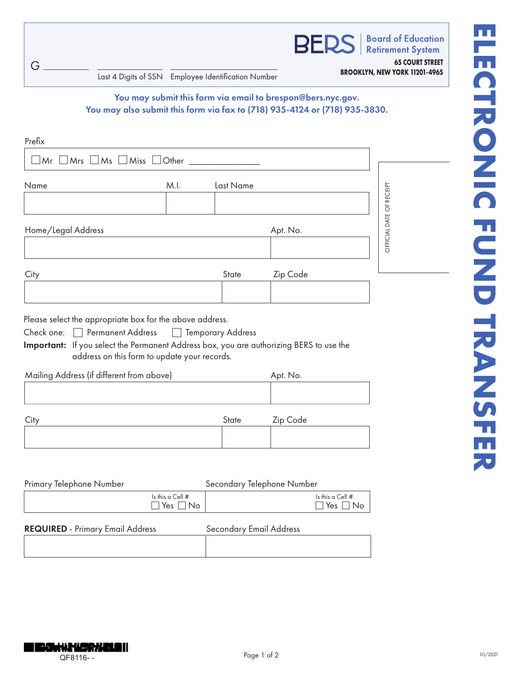G

| Last 4 Digits of SSN Employee Identification Number | <b>BROOKLYN, NEW YORK 11201-4965</b> |
|-----------------------------------------------------|--------------------------------------|
|                                                     |                                      |

**Retirement System 65 COURT STREET**

**BERS** 

**Board of Education** 

## You may submit this form via email to brespon@bers.nyc.gov. You may also submit this form via fax to (718) 935-4124 or (718) 935-3830.

| Name                                                                                                                                                                                                                                                                                       | M.I.<br>Last Name                   |          |                          |
|--------------------------------------------------------------------------------------------------------------------------------------------------------------------------------------------------------------------------------------------------------------------------------------------|-------------------------------------|----------|--------------------------|
| Home/Legal Address                                                                                                                                                                                                                                                                         |                                     | Apt. No. | OFFICIAL DATE OF RECEIPT |
|                                                                                                                                                                                                                                                                                            |                                     |          |                          |
|                                                                                                                                                                                                                                                                                            | State                               | Zip Code |                          |
| City<br>Please select the appropriate box for the above address.<br>Check one:   Permanent Address<br>Important: If you select the Permanent Address box, you are authorizing BERS to use the<br>address on this form to update your records.<br>Mailing Address (if different from above) | <b>Temporary Address</b><br>$\perp$ | Apt. No. |                          |

| Primary Telephone Number                |                                            | Secondary Telephone Number     |                                            |
|-----------------------------------------|--------------------------------------------|--------------------------------|--------------------------------------------|
|                                         | Is this a Cell $#$<br>$\Box$ Yes $\Box$ No |                                | Is this a Cell $#$<br>$\Box$ Yes $\Box$ No |
| <b>REQUIRED</b> - Primary Email Address |                                            | <b>Secondary Email Address</b> |                                            |